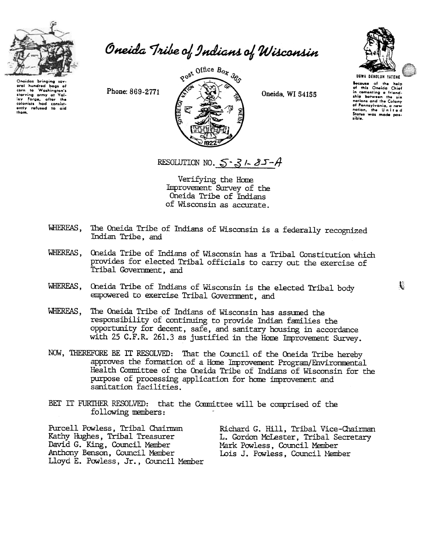

Oneida Tribe of Indians of Wisconsin

Oneidas bringing eral hundred bags of<br>corn to Washington's starving army at Val-<br>Ioy Forge, after the<br>colonists had consist-<br>ently refused to aid thom.

 $80^{9t}$  Office  $B_{Ox}$   $36s$ Phone: 869-2771  $\leftarrow$   $\leftarrow$   $\leftarrow$   $\leftarrow$   $\leftarrow$   $\leftarrow$   $\leftarrow$   $\leftarrow$  Oneida. WI 54155



UGWA DENOLUN YATENE Because of the help<br>of this Oneida Chief in comenting a friend<br>ship between the si nations and the Colony<br>of Pennsylvania, a new<br>nation, the United<br>States was made possible.

RESOLUTION NO.  $5-3/25-4$ 

Verifying the Home Improvement Survey of the Oneida Tribe of Indians of Wisconsin as accurate.

- WHEREAS, The Oneida Tribe of Indians of Wisconsin is a federally recognized Indian Tribe, and
- WHEREAS, Oneida Tribe of Indians of Wisconsin has a Tribal Constitution which provides for elected Tribal officials to carry out the exercise of Tribal Government, and
- WHEREAS, Oneida Tribe of Indians of Wisconsin is the elected Tribal body  $\;$ empowered to exercise Tribal Government, and
- WHEREAS, The Oneida Tribe of Indians of Wisconsin has assumed the responsibility of continuing to provide Indian families the opportunity for decent, safe, and sanitary housing in accordance with 25 C.F.R. 261.3 as justified in the Home Improvement Survey.
- NOW, THEREFORE BE IT RESOLVED: That the Council of the Oneida Tribe hereby approves the formation of a Home Improvement Program/Environmental Health Comnittee of the Oneida Tribe of Indians of Wisconsin for the purpose of processing application for home improvement and sanitation facilities.
- BET IT FURTHER RESOLVED: that the Committee will be comprised of the following members:

Purcell Powless, Tribal Chairman Kathy Hughes, Tribal Treasurer David G. King, Council Member Anthony Benson, Council Member Uoyd E. Powless, Jr., Council Member Richard G. Hill, Tribal Vice-Chairman L. Gordon McLester, Tribal Secretary Mark Powless, Council Member Lois J. Powless, Council Member